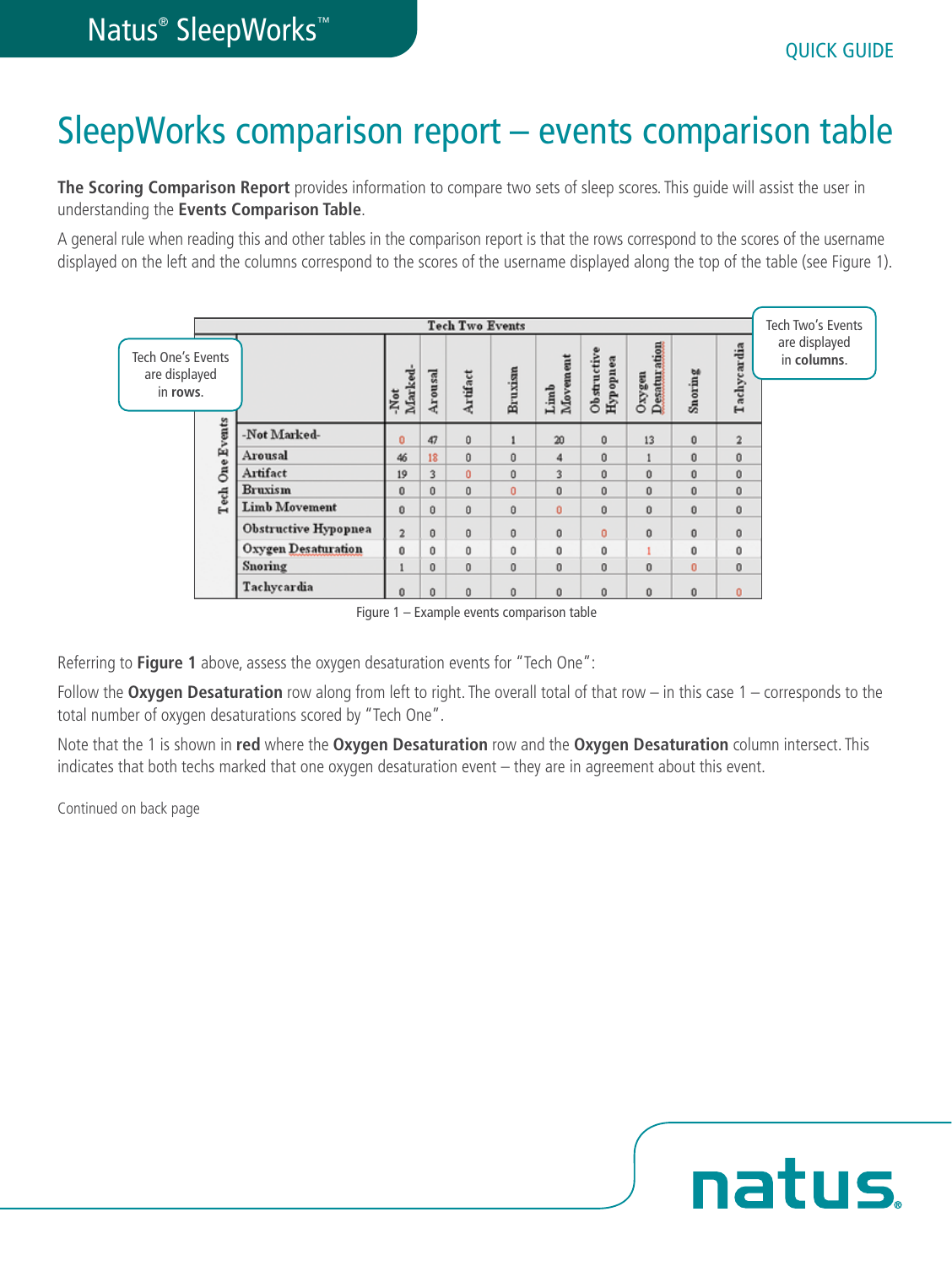## SleepWorks comparison report – events comparison table

**The Scoring Comparison Report** provides information to compare two sets of sleep scores. This guide will assist the user in understanding the **Events Comparison Table**.

A general rule when reading this and other tables in the comparison report is that the rows correspond to the scores of the username displayed on the left and the columns correspond to the scores of the username displayed along the top of the table (see Figure 1).

| <b>Tech Two Events</b>                         |                           |                             |                        |                                     |              |          |                  |                         |                        | Tech Two's Events |                         |                              |
|------------------------------------------------|---------------------------|-----------------------------|------------------------|-------------------------------------|--------------|----------|------------------|-------------------------|------------------------|-------------------|-------------------------|------------------------------|
| Tech One's Events<br>are displayed<br>in rows. |                           |                             | Marked-<br>$\cdot$ Not | Arousal                             | Artifact     | Bruxism  | Limb<br>Movement | Obstructive<br>Hypopnea | Oxygen<br>Desaturation | Snoring           | Tachycardia             | are displayed<br>in columns. |
|                                                | <b>One Events</b><br>Tech | -Not Marked-                | o                      | 47                                  | 0            |          | 20               | $\bf{0}$                | 13                     | 0                 | $\overline{\mathbf{2}}$ |                              |
|                                                |                           | Arousal                     | 46                     | 18                                  | 0            | $\bf{0}$ | 4                | $\ddot{\mathbf{0}}$     |                        | $\bf{0}$          | $\bf{0}$                |                              |
|                                                |                           | Artifact                    | 19                     | 3                                   | o            | Ū        | 3                | 0                       | 0                      | $\bf{0}$          | 0                       |                              |
|                                                |                           | <b>Bruxism</b>              | Ŭ                      | $\bf{0}$                            | 0            | 0        | 0                | $\bf{0}$                | $\bf{0}$               | $\bf{0}$          | 0                       |                              |
|                                                |                           | <b>Limb Movement</b>        | 0                      | $\begin{array}{c} 0 \\ \end{array}$ | 0            | 0        | 0                | $\bf{0}$                | 0                      | $\bf{0}$          | 0                       |                              |
|                                                |                           | <b>Obstructive Hypopnea</b> | $\overline{2}$         | $\bf{0}$                            | o            | 0        | $\bf{0}$         | 0                       | 0                      | $\bf{0}$          | 0                       |                              |
|                                                |                           | Oxygen Desaturation         | 0                      | $\bf{0}$                            | 0            | $\bf{0}$ | $\bf{0}$         | $\bf{0}$                |                        | $\bf{0}$          | 0                       |                              |
|                                                |                           | Snoring                     |                        | $\bf{0}$                            | $\mathbf{0}$ | $\bf{0}$ | $\bf{0}$         | $\bf{0}$                | 0                      | $\bf{0}$          | 0                       |                              |
|                                                |                           | Tachycardia                 | 0                      | $\Omega$                            | $\bf{0}$     | $\bf{0}$ | 0                | $\bf{0}$                | 0                      | $\bf{0}$          | o                       |                              |

Figure 1 – Example events comparison table

Referring to **Figure 1** above, assess the oxygen desaturation events for "Tech One":

Follow the **Oxygen Desaturation** row along from left to right. The overall total of that row – in this case 1 – corresponds to the total number of oxygen desaturations scored by "Tech One".

Note that the 1 is shown in **red** where the **Oxygen Desaturation** row and the **Oxygen Desaturation** column intersect. This indicates that both techs marked that one oxygen desaturation event – they are in agreement about this event.

Continued on back page